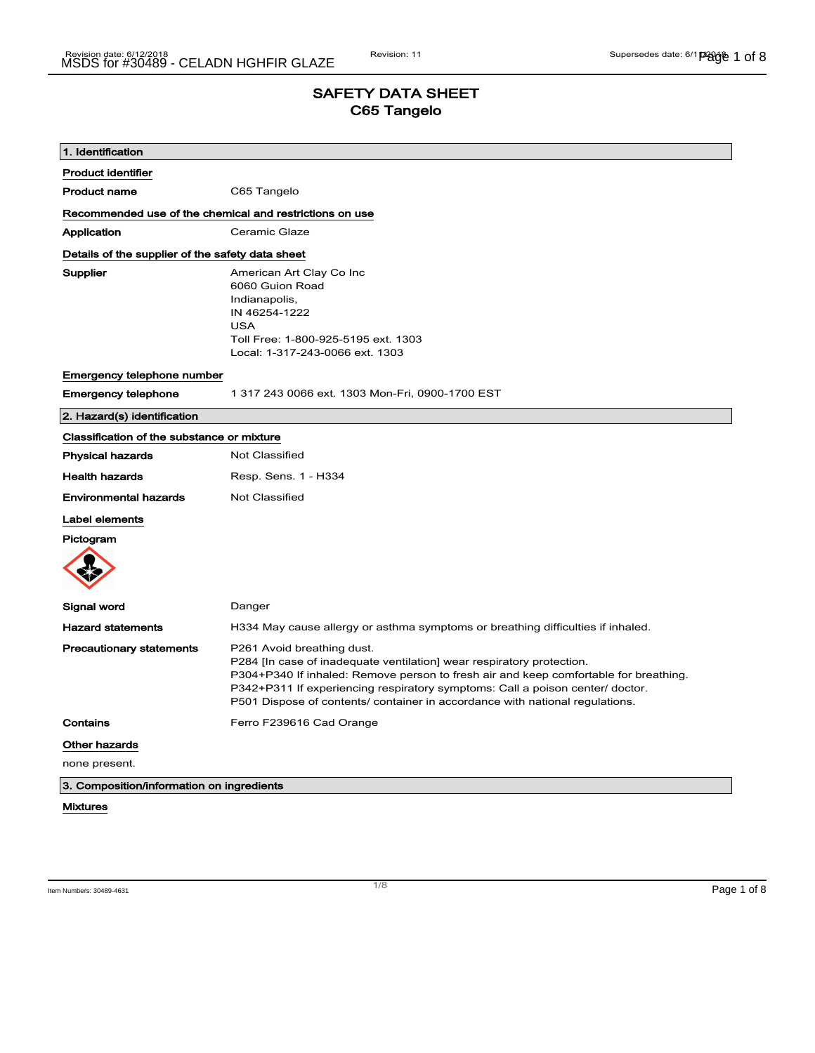## SAFETY DATA SHEET C65 Tangelo

| 1. Identification                                       |                                                                                                                                                                                                                                                                                                                                                              |  |
|---------------------------------------------------------|--------------------------------------------------------------------------------------------------------------------------------------------------------------------------------------------------------------------------------------------------------------------------------------------------------------------------------------------------------------|--|
| <b>Product identifier</b>                               |                                                                                                                                                                                                                                                                                                                                                              |  |
| Product name                                            | C65 Tangelo                                                                                                                                                                                                                                                                                                                                                  |  |
| Recommended use of the chemical and restrictions on use |                                                                                                                                                                                                                                                                                                                                                              |  |
| Application                                             | Ceramic Glaze                                                                                                                                                                                                                                                                                                                                                |  |
| Details of the supplier of the safety data sheet        |                                                                                                                                                                                                                                                                                                                                                              |  |
| Supplier                                                | American Art Clay Co Inc<br>6060 Guion Road<br>Indianapolis,<br>IN 46254-1222<br><b>USA</b><br>Toll Free: 1-800-925-5195 ext. 1303<br>Local: 1-317-243-0066 ext. 1303                                                                                                                                                                                        |  |
| <b>Emergency telephone number</b>                       |                                                                                                                                                                                                                                                                                                                                                              |  |
| <b>Emergency telephone</b>                              | 1 317 243 0066 ext. 1303 Mon-Fri, 0900-1700 EST                                                                                                                                                                                                                                                                                                              |  |
| 2. Hazard(s) identification                             |                                                                                                                                                                                                                                                                                                                                                              |  |
| Classification of the substance or mixture              |                                                                                                                                                                                                                                                                                                                                                              |  |
| <b>Physical hazards</b>                                 | Not Classified                                                                                                                                                                                                                                                                                                                                               |  |
| <b>Health hazards</b>                                   | Resp. Sens. 1 - H334                                                                                                                                                                                                                                                                                                                                         |  |
| <b>Environmental hazards</b>                            | Not Classified                                                                                                                                                                                                                                                                                                                                               |  |
| Label elements                                          |                                                                                                                                                                                                                                                                                                                                                              |  |
| Pictogram                                               |                                                                                                                                                                                                                                                                                                                                                              |  |
| Signal word                                             | Danger                                                                                                                                                                                                                                                                                                                                                       |  |
| <b>Hazard statements</b>                                | H334 May cause allergy or asthma symptoms or breathing difficulties if inhaled.                                                                                                                                                                                                                                                                              |  |
| <b>Precautionary statements</b>                         | P261 Avoid breathing dust.<br>P284 [In case of inadequate ventilation] wear respiratory protection.<br>P304+P340 If inhaled: Remove person to fresh air and keep comfortable for breathing.<br>P342+P311 If experiencing respiratory symptoms: Call a poison center/ doctor.<br>P501 Dispose of contents/ container in accordance with national regulations. |  |
| Contains                                                | Ferro F239616 Cad Orange                                                                                                                                                                                                                                                                                                                                     |  |
| Other hazards                                           |                                                                                                                                                                                                                                                                                                                                                              |  |
| none present.                                           |                                                                                                                                                                                                                                                                                                                                                              |  |
| 3. Composition/information on ingredients               |                                                                                                                                                                                                                                                                                                                                                              |  |
| <b>Mixtures</b>                                         |                                                                                                                                                                                                                                                                                                                                                              |  |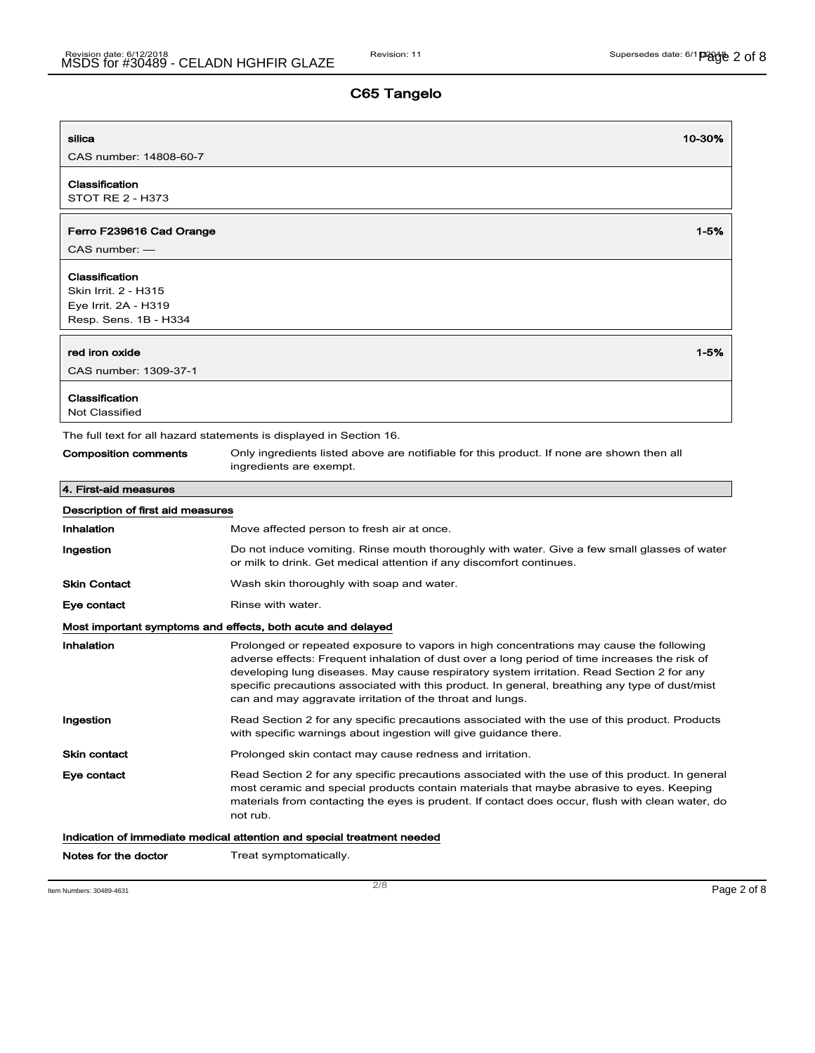|                                   |                                                                                                                                                                                                                                                                                                                                                                                                                                                      | 10-30%   |
|-----------------------------------|------------------------------------------------------------------------------------------------------------------------------------------------------------------------------------------------------------------------------------------------------------------------------------------------------------------------------------------------------------------------------------------------------------------------------------------------------|----------|
| CAS number: 14808-60-7            |                                                                                                                                                                                                                                                                                                                                                                                                                                                      |          |
| Classification                    |                                                                                                                                                                                                                                                                                                                                                                                                                                                      |          |
| <b>STOT RE 2 - H373</b>           |                                                                                                                                                                                                                                                                                                                                                                                                                                                      |          |
| Ferro F239616 Cad Orange          |                                                                                                                                                                                                                                                                                                                                                                                                                                                      | 1-5%     |
| $CAS$ number: $-$                 |                                                                                                                                                                                                                                                                                                                                                                                                                                                      |          |
| Classification                    |                                                                                                                                                                                                                                                                                                                                                                                                                                                      |          |
| Skin Irrit. 2 - H315              |                                                                                                                                                                                                                                                                                                                                                                                                                                                      |          |
| Eye Irrit. 2A - H319              |                                                                                                                                                                                                                                                                                                                                                                                                                                                      |          |
| Resp. Sens. 1B - H334             |                                                                                                                                                                                                                                                                                                                                                                                                                                                      |          |
| red iron oxide                    |                                                                                                                                                                                                                                                                                                                                                                                                                                                      | $1 - 5%$ |
| CAS number: 1309-37-1             |                                                                                                                                                                                                                                                                                                                                                                                                                                                      |          |
| Classification                    |                                                                                                                                                                                                                                                                                                                                                                                                                                                      |          |
| <b>Not Classified</b>             |                                                                                                                                                                                                                                                                                                                                                                                                                                                      |          |
|                                   | The full text for all hazard statements is displayed in Section 16.                                                                                                                                                                                                                                                                                                                                                                                  |          |
| <b>Composition comments</b>       | Only ingredients listed above are notifiable for this product. If none are shown then all<br>ingredients are exempt.                                                                                                                                                                                                                                                                                                                                 |          |
| 4. First-aid measures             |                                                                                                                                                                                                                                                                                                                                                                                                                                                      |          |
| Description of first aid measures |                                                                                                                                                                                                                                                                                                                                                                                                                                                      |          |
| <b>Inhalation</b>                 | Move affected person to fresh air at once.                                                                                                                                                                                                                                                                                                                                                                                                           |          |
| Ingestion                         | Do not induce vomiting. Rinse mouth thoroughly with water. Give a few small glasses of water<br>or milk to drink. Get medical attention if any discomfort continues.                                                                                                                                                                                                                                                                                 |          |
| <b>Skin Contact</b>               | Wash skin thoroughly with soap and water.                                                                                                                                                                                                                                                                                                                                                                                                            |          |
| Eye contact                       | Rinse with water.                                                                                                                                                                                                                                                                                                                                                                                                                                    |          |
|                                   | Most important symptoms and effects, both acute and delayed                                                                                                                                                                                                                                                                                                                                                                                          |          |
| Inhalation                        | Prolonged or repeated exposure to vapors in high concentrations may cause the following<br>adverse effects: Frequent inhalation of dust over a long period of time increases the risk of<br>developing lung diseases. May cause respiratory system irritation. Read Section 2 for any<br>specific precautions associated with this product. In general, breathing any type of dust/mist<br>can and may aggravate irritation of the throat and lungs. |          |
| Ingestion                         | Read Section 2 for any specific precautions associated with the use of this product. Products<br>with specific warnings about ingestion will give guidance there.                                                                                                                                                                                                                                                                                    |          |
| <b>Skin contact</b>               | Prolonged skin contact may cause redness and irritation.                                                                                                                                                                                                                                                                                                                                                                                             |          |
| Eye contact                       | Read Section 2 for any specific precautions associated with the use of this product. In general<br>most ceramic and special products contain materials that maybe abrasive to eyes. Keeping<br>materials from contacting the eyes is prudent. If contact does occur, flush with clean water, do<br>not rub.                                                                                                                                          |          |
|                                   | Indication of immediate medical attention and special treatment needed                                                                                                                                                                                                                                                                                                                                                                               |          |
| Notes for the doctor              | Treat symptomatically.                                                                                                                                                                                                                                                                                                                                                                                                                               |          |
|                                   |                                                                                                                                                                                                                                                                                                                                                                                                                                                      |          |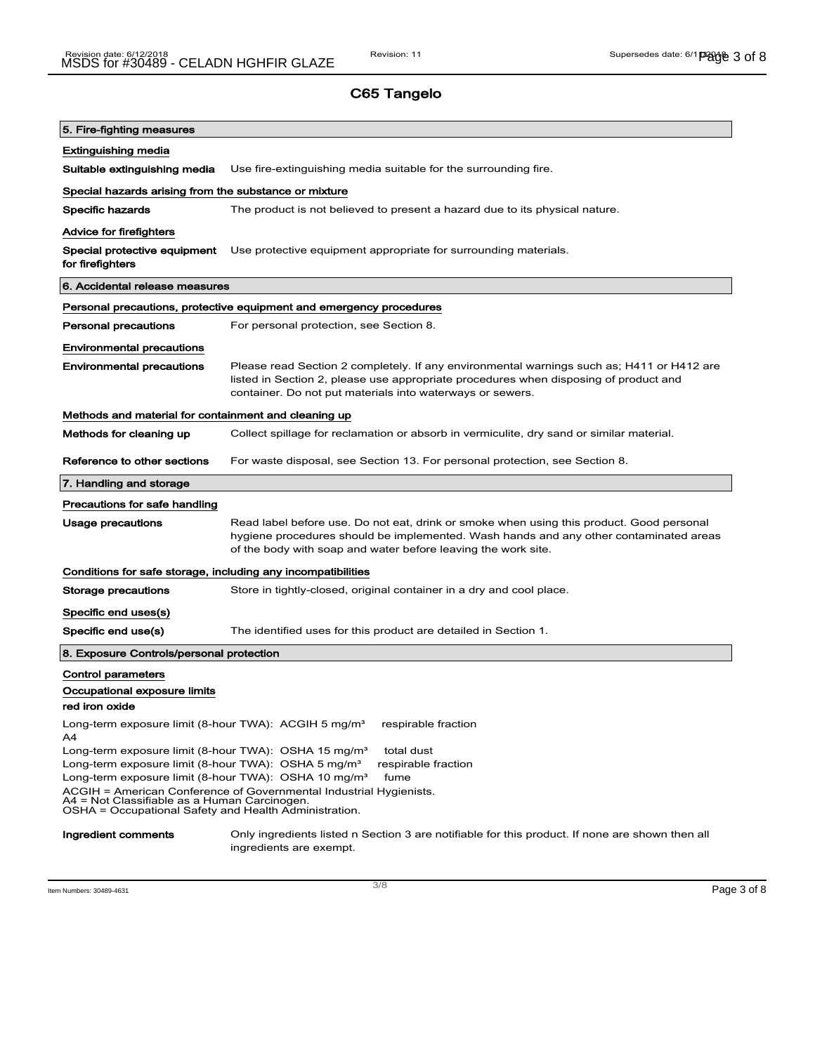| 5. Fire-fighting measures                                                                                                                                                   |                                                                                                                                                                                                                                                    |  |  |
|-----------------------------------------------------------------------------------------------------------------------------------------------------------------------------|----------------------------------------------------------------------------------------------------------------------------------------------------------------------------------------------------------------------------------------------------|--|--|
| <b>Extinguishing media</b>                                                                                                                                                  |                                                                                                                                                                                                                                                    |  |  |
| Suitable extinguishing media                                                                                                                                                | Use fire-extinguishing media suitable for the surrounding fire.                                                                                                                                                                                    |  |  |
| Special hazards arising from the substance or mixture                                                                                                                       |                                                                                                                                                                                                                                                    |  |  |
| <b>Specific hazards</b>                                                                                                                                                     | The product is not believed to present a hazard due to its physical nature.                                                                                                                                                                        |  |  |
| <b>Advice for firefighters</b>                                                                                                                                              |                                                                                                                                                                                                                                                    |  |  |
| Special protective equipment<br>for firefighters                                                                                                                            | Use protective equipment appropriate for surrounding materials.                                                                                                                                                                                    |  |  |
| 6. Accidental release measures                                                                                                                                              |                                                                                                                                                                                                                                                    |  |  |
|                                                                                                                                                                             | Personal precautions, protective equipment and emergency procedures                                                                                                                                                                                |  |  |
| Personal precautions                                                                                                                                                        | For personal protection, see Section 8.                                                                                                                                                                                                            |  |  |
| <b>Environmental precautions</b>                                                                                                                                            |                                                                                                                                                                                                                                                    |  |  |
| <b>Environmental precautions</b>                                                                                                                                            | Please read Section 2 completely. If any environmental warnings such as; H411 or H412 are<br>listed in Section 2, please use appropriate procedures when disposing of product and<br>container. Do not put materials into waterways or sewers.     |  |  |
| Methods and material for containment and cleaning up                                                                                                                        |                                                                                                                                                                                                                                                    |  |  |
| Methods for cleaning up                                                                                                                                                     | Collect spillage for reclamation or absorb in vermiculite, dry sand or similar material.                                                                                                                                                           |  |  |
| Reference to other sections                                                                                                                                                 | For waste disposal, see Section 13. For personal protection, see Section 8.                                                                                                                                                                        |  |  |
| 7. Handling and storage                                                                                                                                                     |                                                                                                                                                                                                                                                    |  |  |
| Precautions for safe handling                                                                                                                                               |                                                                                                                                                                                                                                                    |  |  |
| Usage precautions                                                                                                                                                           | Read label before use. Do not eat, drink or smoke when using this product. Good personal<br>hygiene procedures should be implemented. Wash hands and any other contaminated areas<br>of the body with soap and water before leaving the work site. |  |  |
| Conditions for safe storage, including any incompatibilities                                                                                                                |                                                                                                                                                                                                                                                    |  |  |
| Storage precautions                                                                                                                                                         | Store in tightly-closed, original container in a dry and cool place.                                                                                                                                                                               |  |  |
| Specific end uses(s)                                                                                                                                                        |                                                                                                                                                                                                                                                    |  |  |
| Specific end use(s)                                                                                                                                                         | The identified uses for this product are detailed in Section 1.                                                                                                                                                                                    |  |  |
| 8. Exposure Controls/personal protection                                                                                                                                    |                                                                                                                                                                                                                                                    |  |  |
| Control parameters                                                                                                                                                          |                                                                                                                                                                                                                                                    |  |  |
| Occupational exposure limits                                                                                                                                                |                                                                                                                                                                                                                                                    |  |  |
| red iron oxide                                                                                                                                                              |                                                                                                                                                                                                                                                    |  |  |
| Long-term exposure limit (8-hour TWA): ACGIH 5 mg/m <sup>3</sup><br>A4                                                                                                      | respirable fraction                                                                                                                                                                                                                                |  |  |
| Long-term exposure limit (8-hour TWA): OSHA 15 mg/m <sup>3</sup><br>total dust<br>Long-term exposure limit (8-hour TWA): OSHA 5 mg/m <sup>3</sup><br>respirable fraction    |                                                                                                                                                                                                                                                    |  |  |
| Long-term exposure limit (8-hour TWA): OSHA 10 mg/m <sup>3</sup>                                                                                                            | fume                                                                                                                                                                                                                                               |  |  |
| ACGIH = American Conference of Governmental Industrial Hygienists.<br>A4 = Not Classifiable as a Human Carcinogen.<br>OSHA = Occupational Safety and Health Administration. |                                                                                                                                                                                                                                                    |  |  |
| Ingredient comments                                                                                                                                                         | Only ingredients listed n Section 3 are notifiable for this product. If none are shown then all<br>ingredients are exempt.                                                                                                                         |  |  |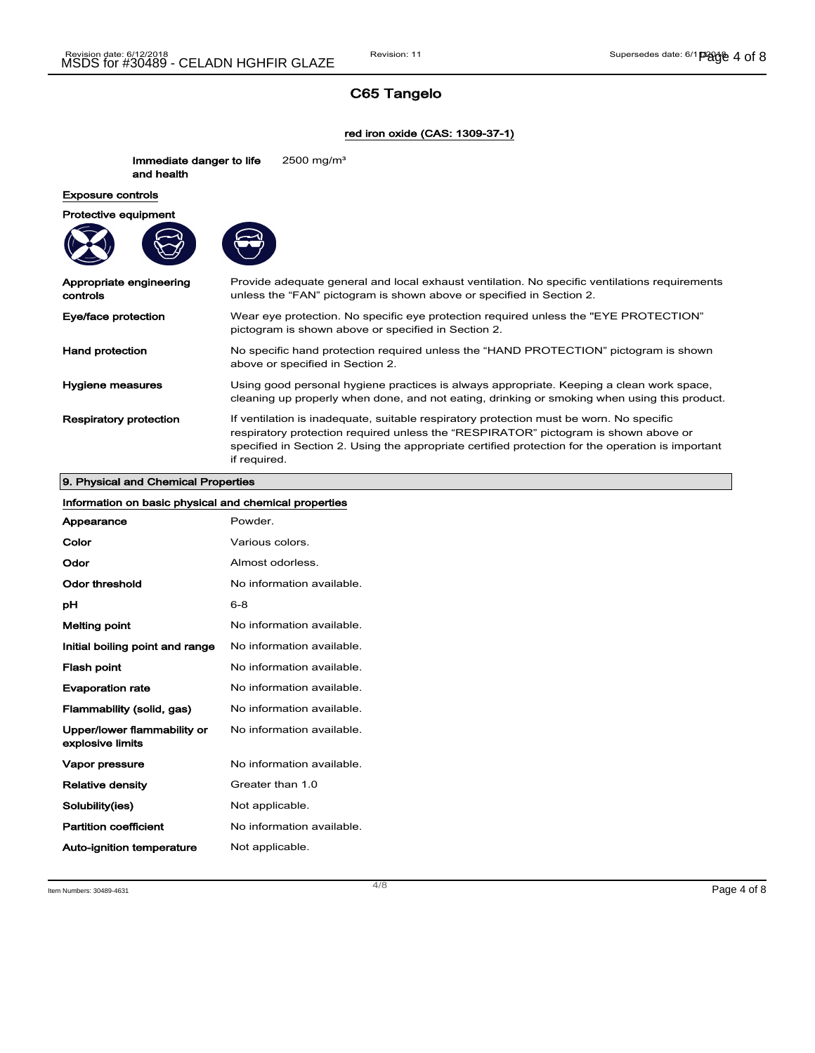#### red iron oxide (CAS: 1309-37-1)

Immediate danger to life and health 2500 mg/m³ Exposure controls Protective equipment Appropriate engineering controls Provide adequate general and local exhaust ventilation. No specific ventilations requirements unless the "FAN" pictogram is shown above or specified in Section 2. Eye/face protection Wear eye protection. No specific eye protection required unless the "EYE PROTECTION" pictogram is shown above or specified in Section 2. Hand protection No specific hand protection required unless the "HAND PROTECTION" pictogram is shown above or specified in Section 2. Hygiene measures **Exercise System** Using good personal hygiene practices is always appropriate. Keeping a clean work space, cleaning up properly when done, and not eating, drinking or smoking when using this product. Respiratory protection If ventilation is inadequate, suitable respiratory protection must be worn. No specific respiratory protection required unless the "RESPIRATOR" pictogram is shown above or specified in Section 2. Using the appropriate certified protection for the operation is important if required.

### 9. Physical and Chemical Properties

| Information on basic physical and chemical properties |                           |  |
|-------------------------------------------------------|---------------------------|--|
| Appearance                                            | Powder.                   |  |
| Color                                                 | Various colors.           |  |
| Odor                                                  | Almost odorless.          |  |
| Odor threshold                                        | No information available. |  |
| рH                                                    | $6 - 8$                   |  |
| <b>Melting point</b>                                  | No information available. |  |
| Initial boiling point and range                       | No information available. |  |
| Flash point                                           | No information available. |  |
| <b>Evaporation rate</b>                               | No information available. |  |
| Flammability (solid, gas)                             | No information available. |  |
| Upper/lower flammability or<br>explosive limits       | No information available. |  |
| Vapor pressure                                        | No information available. |  |
| <b>Relative density</b>                               | Greater than 1.0          |  |
| Solubility(ies)                                       | Not applicable.           |  |
| <b>Partition coefficient</b>                          | No information available. |  |
| Auto-ignition temperature                             | Not applicable.           |  |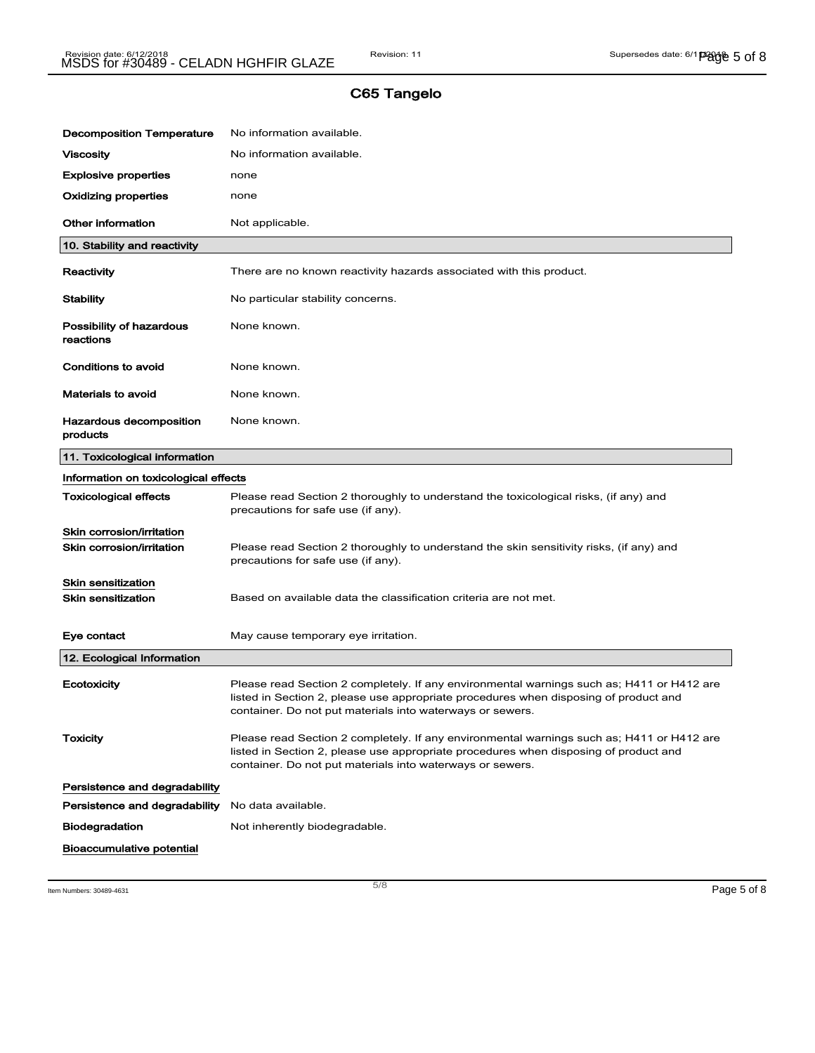| <b>Decomposition Temperature</b>      | No information available.                                                                                                                                                                                                                      |  |  |  |
|---------------------------------------|------------------------------------------------------------------------------------------------------------------------------------------------------------------------------------------------------------------------------------------------|--|--|--|
| Viscosity                             | No information available.                                                                                                                                                                                                                      |  |  |  |
| <b>Explosive properties</b>           | none                                                                                                                                                                                                                                           |  |  |  |
| <b>Oxidizing properties</b>           | none                                                                                                                                                                                                                                           |  |  |  |
| <b>Other information</b>              | Not applicable.                                                                                                                                                                                                                                |  |  |  |
| 10. Stability and reactivity          |                                                                                                                                                                                                                                                |  |  |  |
| Reactivity                            | There are no known reactivity hazards associated with this product.                                                                                                                                                                            |  |  |  |
| Stability                             | No particular stability concerns.                                                                                                                                                                                                              |  |  |  |
| Possibility of hazardous<br>reactions | None known.                                                                                                                                                                                                                                    |  |  |  |
| <b>Conditions to avoid</b>            | None known.                                                                                                                                                                                                                                    |  |  |  |
| <b>Materials to avoid</b>             | None known.                                                                                                                                                                                                                                    |  |  |  |
| Hazardous decomposition<br>products   | None known.                                                                                                                                                                                                                                    |  |  |  |
| 11. Toxicological information         |                                                                                                                                                                                                                                                |  |  |  |
| Information on toxicological effects  |                                                                                                                                                                                                                                                |  |  |  |
| <b>Toxicological effects</b>          | Please read Section 2 thoroughly to understand the toxicological risks, (if any) and<br>precautions for safe use (if any).                                                                                                                     |  |  |  |
| Skin corrosion/irritation             |                                                                                                                                                                                                                                                |  |  |  |
| Skin corrosion/irritation             | Please read Section 2 thoroughly to understand the skin sensitivity risks, (if any) and<br>precautions for safe use (if any).                                                                                                                  |  |  |  |
| <b>Skin sensitization</b>             |                                                                                                                                                                                                                                                |  |  |  |
| <b>Skin sensitization</b>             | Based on available data the classification criteria are not met.                                                                                                                                                                               |  |  |  |
| Eye contact                           | May cause temporary eye irritation.                                                                                                                                                                                                            |  |  |  |
| 12. Ecological Information            |                                                                                                                                                                                                                                                |  |  |  |
| Ecotoxicity                           | Please read Section 2 completely. If any environmental warnings such as; H411 or H412 are<br>listed in Section 2, please use appropriate procedures when disposing of product and<br>container. Do not put materials into waterways or sewers. |  |  |  |
| <b>Toxicity</b>                       | Please read Section 2 completely. If any environmental warnings such as; H411 or H412 are<br>listed in Section 2, please use appropriate procedures when disposing of product and<br>container. Do not put materials into waterways or sewers. |  |  |  |
| Persistence and degradability         |                                                                                                                                                                                                                                                |  |  |  |
| Persistence and degradability         | No data available.                                                                                                                                                                                                                             |  |  |  |
| <b>Biodegradation</b>                 | Not inherently biodegradable.                                                                                                                                                                                                                  |  |  |  |
| <b>Bioaccumulative potential</b>      |                                                                                                                                                                                                                                                |  |  |  |

Item Numbers: 30489-4631 **Page 5 of 8**  $\frac{5}{8}$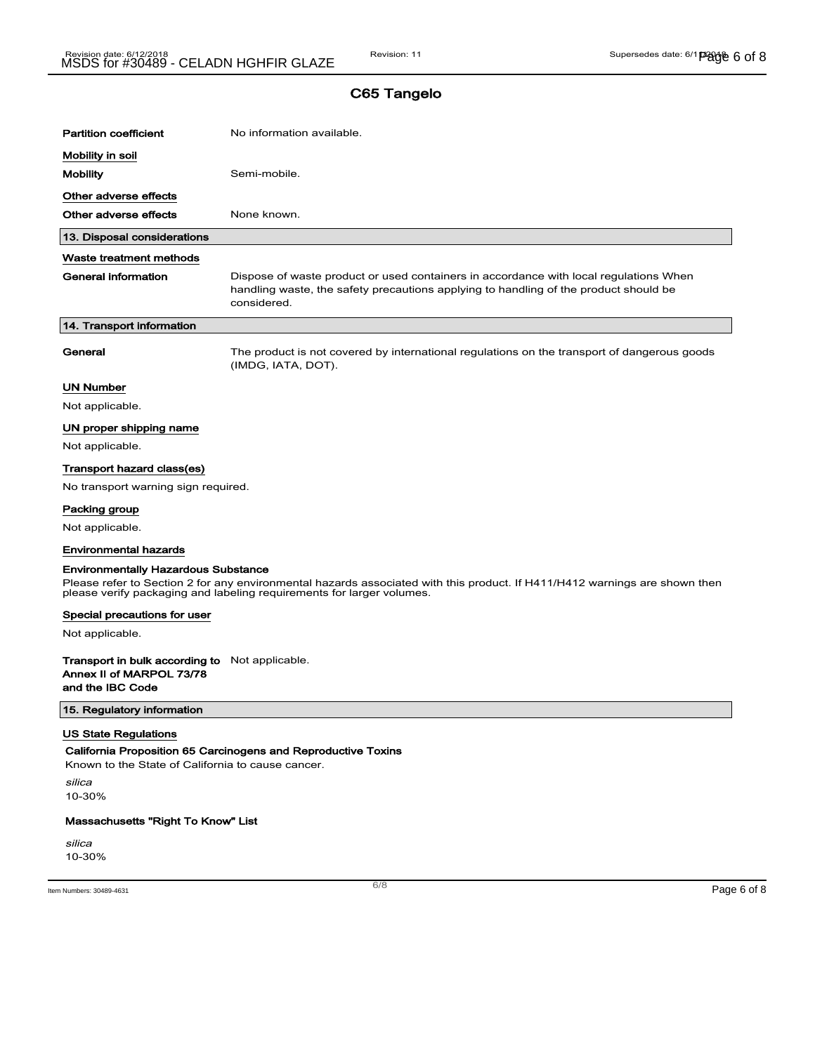| <b>Partition coefficient</b>                          | No information available.                                                                                                                                                                           |             |
|-------------------------------------------------------|-----------------------------------------------------------------------------------------------------------------------------------------------------------------------------------------------------|-------------|
|                                                       |                                                                                                                                                                                                     |             |
| Mobility in soil                                      |                                                                                                                                                                                                     |             |
| <b>Mobility</b>                                       | Semi-mobile.                                                                                                                                                                                        |             |
| Other adverse effects                                 |                                                                                                                                                                                                     |             |
| Other adverse effects                                 | None known.                                                                                                                                                                                         |             |
| 13. Disposal considerations                           |                                                                                                                                                                                                     |             |
| Waste treatment methods                               |                                                                                                                                                                                                     |             |
| <b>General information</b>                            | Dispose of waste product or used containers in accordance with local regulations When<br>handling waste, the safety precautions applying to handling of the product should be<br>considered.        |             |
| 14. Transport information                             |                                                                                                                                                                                                     |             |
| General                                               | The product is not covered by international regulations on the transport of dangerous goods<br>(IMDG, IATA, DOT).                                                                                   |             |
| <b>UN Number</b>                                      |                                                                                                                                                                                                     |             |
| Not applicable.                                       |                                                                                                                                                                                                     |             |
| UN proper shipping name                               |                                                                                                                                                                                                     |             |
| Not applicable.                                       |                                                                                                                                                                                                     |             |
| Transport hazard class(es)                            |                                                                                                                                                                                                     |             |
| No transport warning sign required.                   |                                                                                                                                                                                                     |             |
| Packing group                                         |                                                                                                                                                                                                     |             |
| Not applicable.                                       |                                                                                                                                                                                                     |             |
| <b>Environmental hazards</b>                          |                                                                                                                                                                                                     |             |
| <b>Environmentally Hazardous Substance</b>            |                                                                                                                                                                                                     |             |
|                                                       | Please refer to Section 2 for any environmental hazards associated with this product. If H411/H412 warnings are shown then<br>please verify packaging and labeling requirements for larger volumes. |             |
| Special precautions for user                          |                                                                                                                                                                                                     |             |
| Not applicable.                                       |                                                                                                                                                                                                     |             |
| <b>Transport in bulk according to</b> Not applicable. |                                                                                                                                                                                                     |             |
| Annex II of MARPOL 73/78                              |                                                                                                                                                                                                     |             |
| and the IBC Code                                      |                                                                                                                                                                                                     |             |
| 15. Regulatory information                            |                                                                                                                                                                                                     |             |
| <b>US State Regulations</b>                           |                                                                                                                                                                                                     |             |
| Known to the State of California to cause cancer.     | California Proposition 65 Carcinogens and Reproductive Toxins                                                                                                                                       |             |
| silica                                                |                                                                                                                                                                                                     |             |
| 10-30%                                                |                                                                                                                                                                                                     |             |
| Massachusetts "Right To Know" List                    |                                                                                                                                                                                                     |             |
| silica                                                |                                                                                                                                                                                                     |             |
| 10-30%                                                |                                                                                                                                                                                                     |             |
|                                                       | 6/8                                                                                                                                                                                                 |             |
| Item Numbers: 30489-4631                              |                                                                                                                                                                                                     | Page 6 of 8 |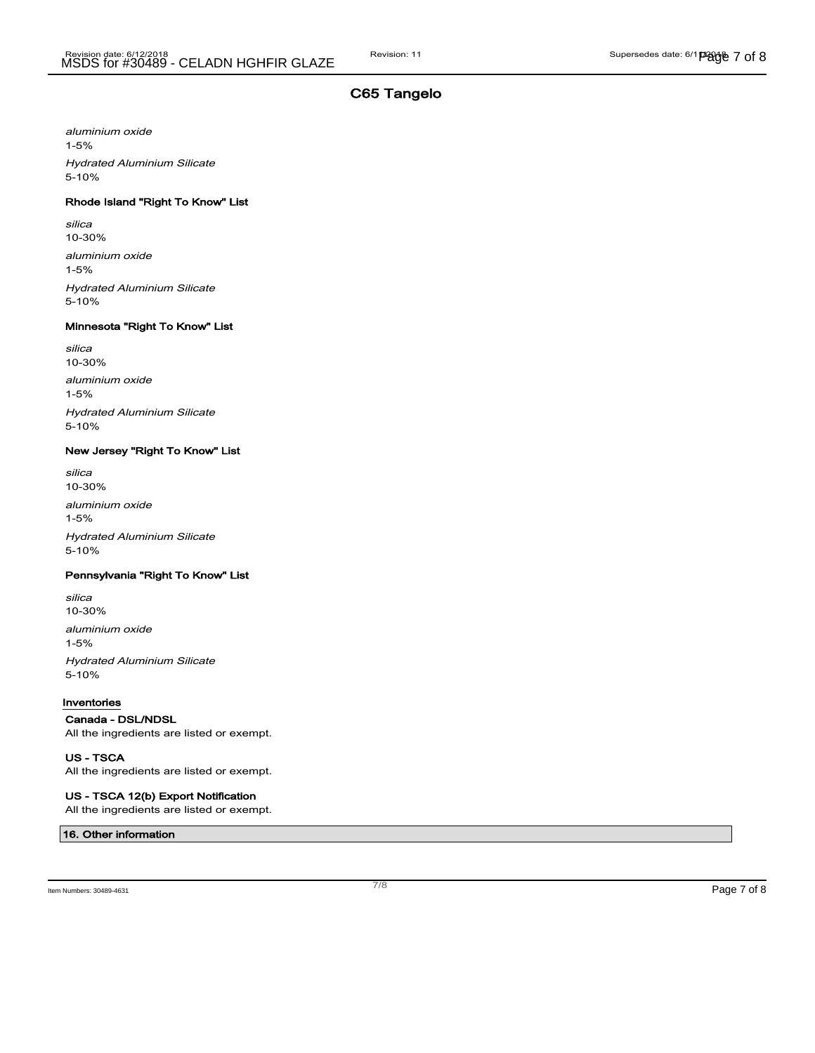aluminium oxide 1-5% Hydrated Aluminium Silicate 5-10%

#### Rhode Island "Right To Know" List

silica 10-30% aluminium oxide 1-5% Hydrated Aluminium Silicate 5-10%

#### Minnesota "Right To Know" List

silica 10-30% aluminium oxide 1-5% Hydrated Aluminium Silicate 5-10%

#### New Jersey "Right To Know" List

silica 10-30% aluminium oxide 1-5% Hydrated Aluminium Silicate 5-10%

#### Pennsylvania "Right To Know" List

silica 10-30% aluminium oxide 1-5% Hydrated Aluminium Silicate 5-10%

#### Inventories

#### Canada - DSL/NDSL

All the ingredients are listed or exempt.

US - TSCA All the ingredients are listed or exempt.

US - TSCA 12(b) Export Notification All the ingredients are listed or exempt.

#### 16. Other information